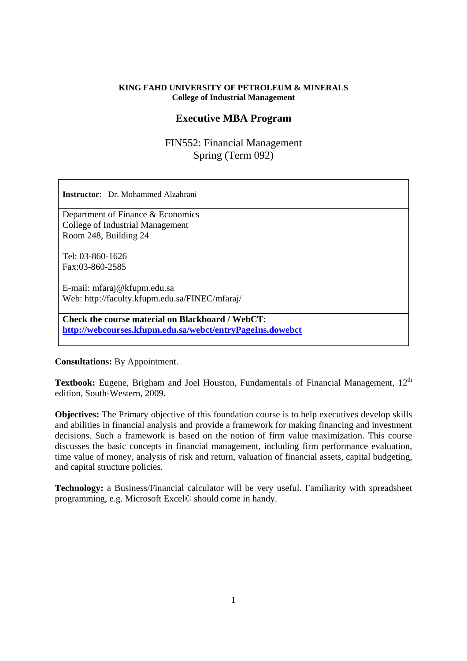#### **KING FAHD UNIVERSITY OF PETROLEUM & MINERALS College of Industrial Management**

# **Executive MBA Program**

FIN552: Financial Management Spring (Term 092)

**Instructor**: Dr. Mohammed Alzahrani Department of Finance & Economics College of Industrial Management Room 248, Building 24 Tel: 03-860-1626 Fax:03-860-2585 E-mail: mfaraj@kfupm.edu.sa Web: http://faculty.kfupm.edu.sa/FINEC/mfaraj/ **Check the course material on Blackboard / WebCT**: **http://webcourses.kfupm.edu.sa/webct/entryPageIns.dowebct**

**Consultations:** By Appointment.

Textbook: Eugene, Brigham and Joel Houston, Fundamentals of Financial Management, 12<sup>th</sup> edition, South-Western, 2009.

**Objectives:** The Primary objective of this foundation course is to help executives develop skills and abilities in financial analysis and provide a framework for making financing and investment decisions. Such a framework is based on the notion of firm value maximization. This course discusses the basic concepts in financial management, including firm performance evaluation, time value of money, analysis of risk and return, valuation of financial assets, capital budgeting, and capital structure policies.

**Technology:** a Business/Financial calculator will be very useful. Familiarity with spreadsheet programming, e.g. Microsoft Excel© should come in handy.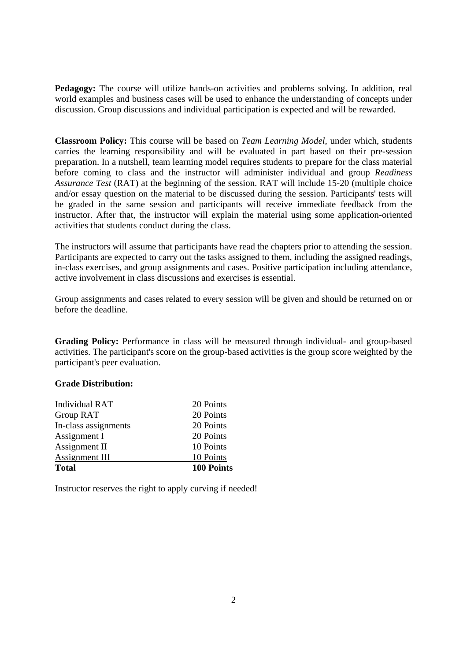**Pedagogy:** The course will utilize hands-on activities and problems solving. In addition, real world examples and business cases will be used to enhance the understanding of concepts under discussion. Group discussions and individual participation is expected and will be rewarded.

**Classroom Policy:** This course will be based on *Team Learning Model*, under which, students carries the learning responsibility and will be evaluated in part based on their pre-session preparation. In a nutshell, team learning model requires students to prepare for the class material before coming to class and the instructor will administer individual and group *Readiness Assurance Test* (RAT) at the beginning of the session. RAT will include 15-20 (multiple choice and/or essay question on the material to be discussed during the session. Participants' tests will be graded in the same session and participants will receive immediate feedback from the instructor. After that, the instructor will explain the material using some application-oriented activities that students conduct during the class.

The instructors will assume that participants have read the chapters prior to attending the session. Participants are expected to carry out the tasks assigned to them, including the assigned readings, in-class exercises, and group assignments and cases. Positive participation including attendance, active involvement in class discussions and exercises is essential.

Group assignments and cases related to every session will be given and should be returned on or before the deadline.

**Grading Policy:** Performance in class will be measured through individual- and group-based activities. The participant's score on the group-based activities is the group score weighted by the participant's peer evaluation.

#### **Grade Distribution:**

| <b>Total</b>         | <b>100 Points</b> |
|----------------------|-------------------|
| Assignment III       | 10 Points         |
| Assignment II        | 10 Points         |
| Assignment I         | 20 Points         |
| In-class assignments | 20 Points         |
| <b>Group RAT</b>     | 20 Points         |
| Individual RAT       | 20 Points         |

Instructor reserves the right to apply curving if needed!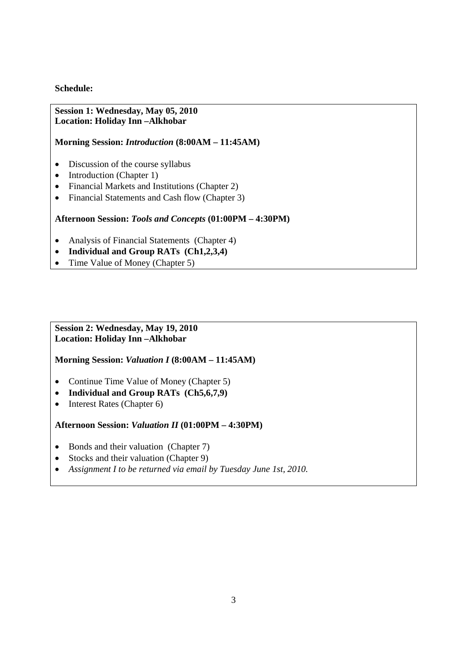## **Schedule:**

### **Session 1: Wednesday, May 05, 2010 Location: Holiday Inn –Alkhobar**

### **Morning Session:** *Introduction* **(8:00AM – 11:45AM)**

- Discussion of the course syllabus
- Introduction (Chapter 1)
- Financial Markets and Institutions (Chapter 2)
- Financial Statements and Cash flow (Chapter 3)

## **Afternoon Session:** *Tools and Concepts* **(01:00PM – 4:30PM)**

- Analysis of Financial Statements (Chapter 4)
- **Individual and Group RATs (Ch1,2,3,4)**
- Time Value of Money (Chapter 5)

#### **Session 2: Wednesday, May 19, 2010 Location: Holiday Inn –Alkhobar**

**Morning Session:** *Valuation I* **(8:00AM – 11:45AM)** 

- Continue Time Value of Money (Chapter 5)
- **Individual and Group RATs (Ch5,6,7,9)**
- Interest Rates (Chapter 6)

**Afternoon Session:** *Valuation II* **(01:00PM – 4:30PM)** 

- Bonds and their valuation (Chapter 7)
- Stocks and their valuation (Chapter 9)
- *Assignment I to be returned via email by Tuesday June 1st, 2010.*